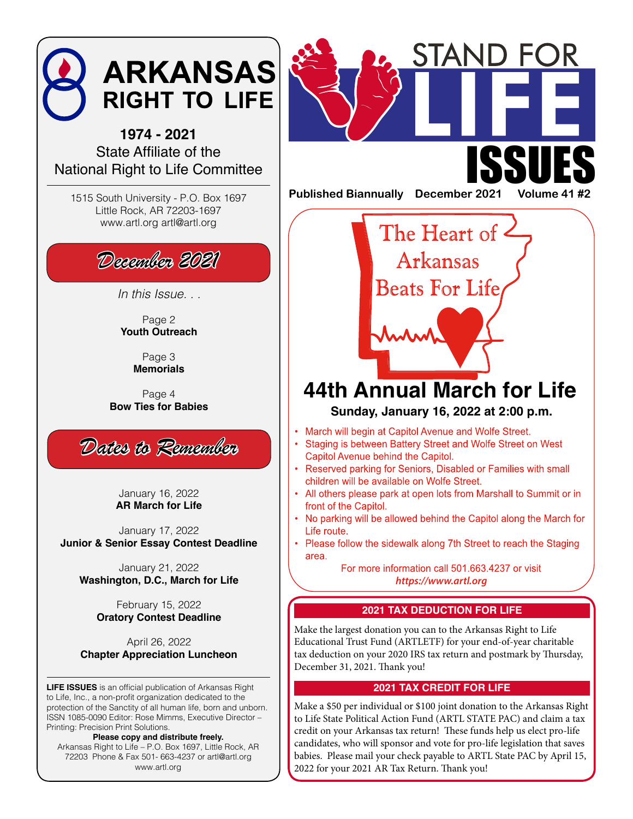

#### **1974 - 2021** State Affiliate of the National Right to Life Committee

1515 South University - P.O. Box 1697 Little Rock, AR 72203-1697 www.artl.org artl@artl.org

## *December 2021*

*In this Issue. . .* 

Page 2 **Youth Outreach**

> Page 3 **Memorials**

Page 4 **Bow Ties for Babies**

*Dates to Remember*

January 16, 2022 **AR March for Life**

January 17, 2022 **Junior & Senior Essay Contest Deadline**

January 21, 2022 **Washington, D.C., March for Life**

> February 15, 2022 **Oratory Contest Deadline**

April 26, 2022 **Chapter Appreciation Luncheon**

**LIFE ISSUES** is an official publication of Arkansas Right to Life, Inc., a non-profit organization dedicated to the protection of the Sanctity of all human life, born and unborn. ISSN 1085-0090 Editor: Rose Mimms, Executive Director – Printing: Precision Print Solutions.

**Please copy and distribute freely.** Arkansas Right to Life – P.O. Box 1697, Little Rock, AR 72203 Phone & Fax 501- 663-4237 or artl@artl.org www.artl.org





## **44th Annual March for Life**<br>Sunday, January 16, 2022 at 2:00 p.m. Sunday, January 16, 2022 at 2:00 p.m.

- March will begin at Capitol Avenue and Wolfe Street.
- Staging is between Battery Street and Wolfe Street on West Capitol Avenue behind the Capitol.
- Reserved parking for Seniors, Disabled or Families with small children will be available on Wolfe Street.
- All others please park at open lots from Marshall to Summit or in front of the Capitol.
- No parking will be allowed behind the Capitol along the March for Life route.
- Please follow the sidewalk along 7th Street to reach the Staging area.

For more information call 501.663.4237 or visit *https://www.artl.org*

#### **2021 TAX DEDUCTION FOR LIFE**

Make the largest donation you can to the Arkansas Right to Life Educational Trust Fund (ARTLETF) for your end-of-year charitable tax deduction on your 2020 IRS tax return and postmark by Thursday, December 31, 2021. Thank you!

#### **2021 TAX CREDIT FOR LIFE**

Make a \$50 per individual or \$100 joint donation to the Arkansas Right to Life State Political Action Fund (ARTL STATE PAC) and claim a tax credit on your Arkansas tax return! These funds help us elect pro-life candidates, who will sponsor and vote for pro-life legislation that saves babies. Please mail your check payable to ARTL State PAC by April 15, 2022 for your 2021 AR Tax Return. Thank you!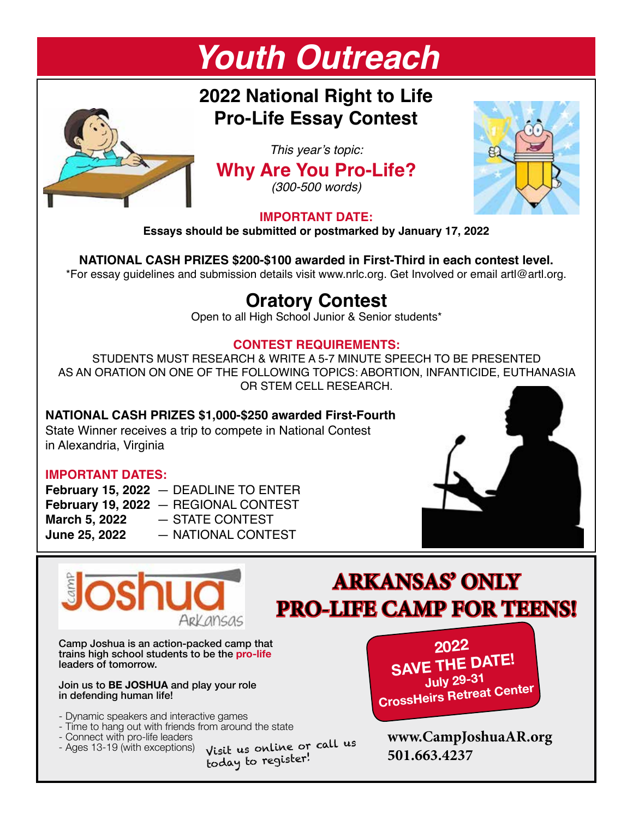# **2022 National Right to Life Pro-Life Essay Contest**

*Youth Outreach*





**Essays should be submitted or postmarked by January 17, 2022**

**NATIONAL CASH PRIZES \$200-\$100 awarded in First-Third in each contest level.** \*For essay guidelines and submission details visit www.nrlc.org. Get Involved or email artl@artl.org.

# **Oratory Contest**

Open to all High School Junior & Senior students\*

#### **CONTEST REQUIREMENTS:**

STUDENTS MUST RESEARCH & WRITE A 5-7 MINUTE SPEECH TO BE PRESENTED AS AN ORATION ON ONE OF THE FOLLOWING TOPICS: ABORTION, INFANTICIDE, EUTHANASIA OR STEM CELL RESEARCH.

#### **NATIONAL CASH PRIZES \$1,000-\$250 awarded First-Fourth**

State Winner receives a trip to compete in National Contest in Alexandria, Virginia

#### **IMPORTANT DATES:**

|                      | <b>February 15, 2022 - DEADLINE TO ENTER</b> |
|----------------------|----------------------------------------------|
|                      | February 19, 2022 - REGIONAL CONTEST         |
| <b>March 5, 2022</b> | - STATE CONTEST                              |
| <b>June 25, 2022</b> | - NATIONAL CONTEST                           |





Camp Joshua is an action-packed camp that trains high school students to be the **pro-life** leaders of tomorrow.

Join us to **BE JOSHUA** and play your role in defending human life!

- Dynamic speakers and interactive games
- Time to hang out with friends from around the state
- Connect with pro-life leaders<br>- Ages 13-19 (with exceptions)
	- **501.663.4237** Visit us online or call us today to register!

**2022 SAVE THE DATE! July 29-31 CrossHeirs Retreat Center**

**ARKANSAS' ONLY** 

**PRO-LIFE CAMP FOR TEENS!**

- Connect with pro-life leaders<br>- Ages 13-19 (with exceptions) **wisit us online or call us** 

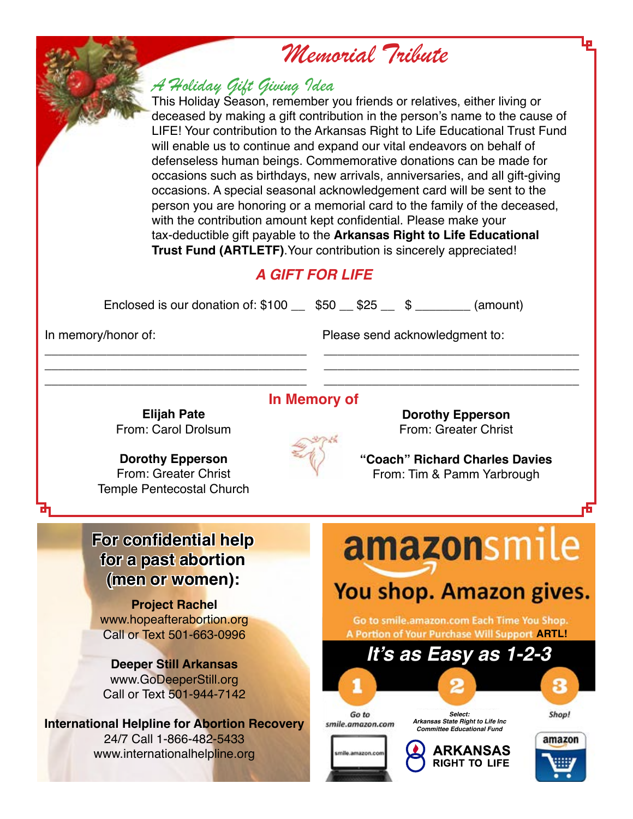# *Memorial Tribute*

### *A Holiday Gift Giving Idea*

This Holiday Season, remember you friends or relatives, either living or deceased by making a gift contribution in the person's name to the cause of LIFE! Your contribution to the Arkansas Right to Life Educational Trust Fund will enable us to continue and expand our vital endeavors on behalf of defenseless human beings. Commemorative donations can be made for occasions such as birthdays, new arrivals, anniversaries, and all gift-giving occasions. A special seasonal acknowledgement card will be sent to the person you are honoring or a memorial card to the family of the deceased, with the contribution amount kept confidential. Please make your tax-deductible gift payable to the **Arkansas Right to Life Educational Trust Fund (ARTLETF)**.Your contribution is sincerely appreciated!

#### *A GIFT FOR LIFE*

Enclosed is our donation of: \$100 \_\_ \$50 \_\_ \$25 \_\_ \$ \_\_\_\_\_\_\_\_ (amount)

\_\_\_\_\_\_\_\_\_\_\_\_\_\_\_\_\_\_\_\_\_\_\_\_\_\_\_\_\_\_\_\_\_\_\_\_\_\_ \_\_\_\_\_\_\_\_\_\_\_\_\_\_\_\_\_\_\_\_\_\_\_\_\_\_\_\_\_\_\_\_\_\_\_\_\_ \_\_\_\_\_\_\_\_\_\_\_\_\_\_\_\_\_\_\_\_\_\_\_\_\_\_\_\_\_\_\_\_\_\_\_\_\_\_ \_\_\_\_\_\_\_\_\_\_\_\_\_\_\_\_\_\_\_\_\_\_\_\_\_\_\_\_\_\_\_\_\_\_\_\_\_ \_\_\_\_\_\_\_\_\_\_\_\_\_\_\_\_\_\_\_\_\_\_\_\_\_\_\_\_\_\_\_\_\_\_\_\_\_\_ \_\_\_\_\_\_\_\_\_\_\_\_\_\_\_\_\_\_\_\_\_\_\_\_\_\_\_\_\_\_\_\_\_\_\_\_\_

**In Memory of**

In memory/honor of: Please send acknowledgment to:

**Elijah Pate** From: Carol Drolsum

**Dorothy Epperson** From: Greater Christ Temple Pentecostal Church



**Dorothy Epperson** From: Greater Christ

**"Coach" Richard Charles Davies** From: Tim & Pamm Yarbrough

**For confidential help for a past abortion (men or women):**

**Project Rachel** www.hopeafterabortion.org Call or Text 501-663-0996

**Deeper Still Arkansas**  www.GoDeeperStill.org Call or Text 501-944-7142

**International Helpline for Abortion Recovery** 24/7 Call 1-866-482-5433 www.internationalhelpline.org

amazonsmile

# You shop. Amazon gives.

Go to smile.amazon.com Each Time You Shop. **A Portion of Your Purchase Will Support ARTL!** 

**It's as Easy as 1-2-3**

Go to smile.amazon.com

*Select:*  **Arkansas State Right to Life Inc Committee Educational Fund**



Shop!

R